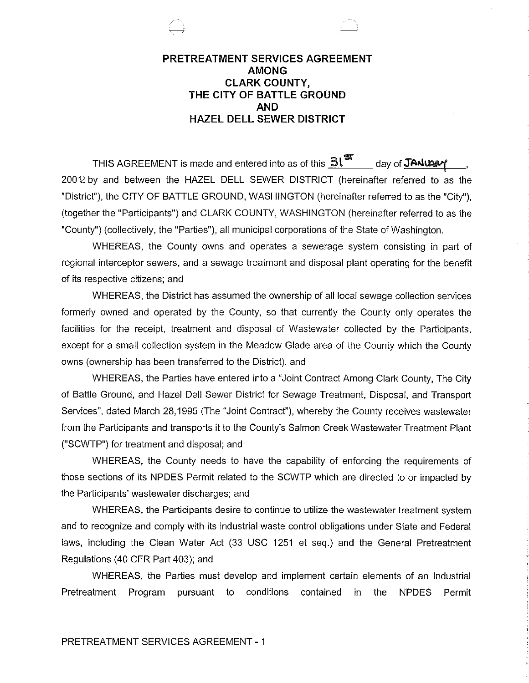# **PRETREATMENT SERVICES AGREEMENT AMONG CLARK COUNTY, THE CITY OF BATTLE GROUND AND HAZEL DELL SEWER DISTRICT**

THIS AGREEMENT is made and entered into as of this  $\underline{\mathbf{3l}}^{\mathbf{\mathfrak{A}}}\qquad$  day of  $\mathbf{\mathfrak{J}}$ ANU201  $200\%$  by and between the HAZEL DELL SEWER DISTRICT (hereinafter referred to as the "District"), the CITY OF BATILE GROUND, WASHINGTON (hereinafter referred to as the "City"), (together the "Participants") and CLARK COUNTY, WASHINGTON (hereinafter referred to as the "County") (collectively, the "Parties"), all municipal corporations of the State of Washington.

WHEREAS, the County owns and operates a sewerage system consisting in part of regional interceptor sewers, and a sewage treatment and disposal plant operating for the benefit of its respective citizens; and

WHEREAS, the District has assumed the ownership of all local sewage collection services formerly owned and operated by the County, so that currently the County only operates the facilities for the receipt, treatment and disposal of Wastewater collected by the Participants, except for a small collection system in the Meadow Glade area of the County which the County owns (ownership has been transferred to the District). and

WHEREAS, the Parties have entered into a "Joint Contract Among Clark County, The City of Battle Ground, and Hazel Dell Sewer District for Sewage Treatment, Disposal, and Transport Services", dated March 28,1995 (The "Joint Contract"), whereby the County receives wastewater from the Participants and transports it to the County's Salmon Creek Wastewater Treatment Plant ("SCWTP") for treatment and disposal; and

WHEREAS, the County needs to have the capability of enforcing the requirements of those sections of its NPDES Permit related to the SCWTP which are directed to or impacted by the Participants' wastewater discharges; and

WHEREAS, the Participants desire to continue to utilize the wastewater treatment system and to recognize and comply with its industrial waste control obligations under State and Federal laws, including the Clean Water Act (33 USC 1251 et seq.) and the General Pretreatment Regulations (40 CFR Part 403); and

WHEREAS, the Parties must develop and implement certain elements of an Industrial Pretreatment Program pursuant to conditions contained in the NPDES Permit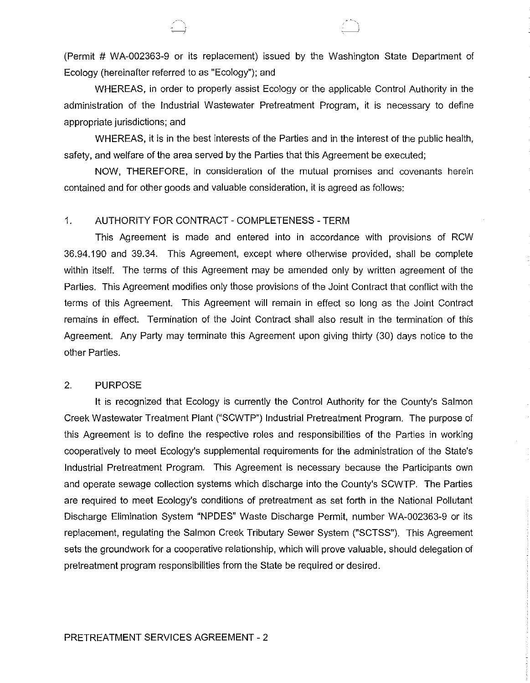(Permit # WA-002363-9 or its replacement) issued by the Washington State Department of Ecology (hereinafter referred to as "Ecology"); and

WHEREAS, in order to properly assist Ecology or the applicable Control Authority in the administration of the Industrial Wastewater Pretreatment Program, it is necessary to define appropriate jurisdictions; and

WHEREAS, it is in the best interests of the Parties and in the interest of the public health, safety, and welfare of the area served by the Parties that this Agreement be executed;

NOW, THEREFORE, in consideration of the mutual promises and covenants herein contained and for other goods and valuable consideration, it is agreed as follows:

### 1. AUTHORITY FOR CONTRACT- COMPLETENESS- TERM

 $\quad \quad \downarrow$ 

This Agreement is made and entered into in accordance with provisions of RCW 36.94.190 and 39.34. This Agreement, except where otherwise provided, shall be complete within itself. The terms of this Agreement may be amended only by written agreement of the Parties. This Agreement modifies only those provisions of the Joint Contract that conflict with the terms of this Agreement. This Agreement will remain in effect so long as the Joint Contract remains in effect. Termination of the Joint Contract shall also result in the termination of this Agreement. Any Party may terminate this Agreement upon giving thirty (30) days notice to the other Parties.

#### 2. PURPOSE

It is recognized that Ecology is currently the Control Authority for the County's Salmon Creek Wastewater Treatment Plant ("SCWTP") Industrial Pretreatment Program. The purpose of this Agreement is to define the respective roles and responsibilities of the Parties in working cooperatively to meet Ecology's supplemental requirements for the administration of the State's Industrial Pretreatment Program. This Agreement is necessary because the Participants own and operate sewage collection systems which discharge into the County's SCWTP. The Parties are required to meet Ecology's conditions of pretreatment as set forth in the National Pollutant Discharge Elimination System "NPDES" Waste Discharge Permit, number WA-002363-9 or its replacement, regulating the Salmon Creek Tributary Sewer System ("SCTSS"). This Agreement sets the groundwork for a cooperative relationship, which will prove valuable, should delegation of pretreatment program responsibilities from the State be required or desired.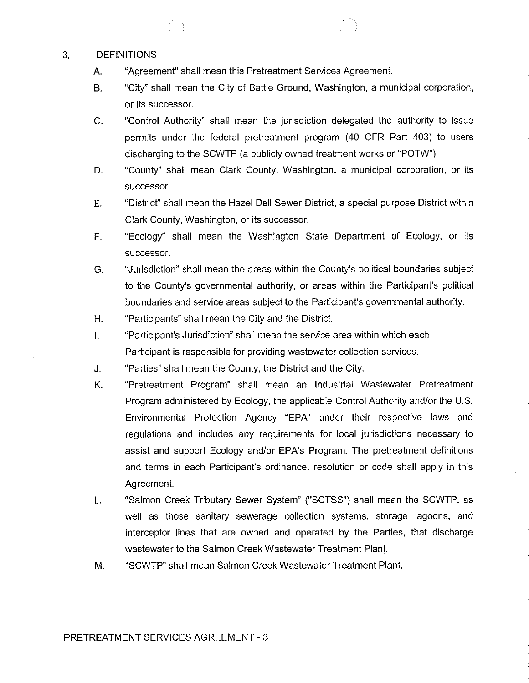#### 3. DEFINITIONS

- A. "Agreement" shall mean this Pretreatment Services Agreement
- B. "City" shall mean the City of Battle Ground, Washington, a municipal corporation, or its successor.
- C. "Control Authority" shall mean the jurisdiction delegated the authority to issue permits under the federal pretreatment program (40 CFR Part 403) to users discharging to the SCWTP (a publicly owned treatment works or "POTW").
- D. "County" shall mean Clark County, Washington, a municipal corporation, or its successor.
- E. "District" shall mean the Hazel Dell Sewer District, a special purpose District within Clark County, Washington, or its successor.
- F. "Ecology" shall mean the Washington State Department of Ecology, or its successor.
- G. "Jurisdiction" shall mean the areas within the County's political boundaries subject to the County's governmental authority, or areas within the Participant's political boundaries and service areas subject to the Participant's governmental authority.
- H. "Participants" shall mean the City and the District
- I. "Participant's Jurisdiction" shall mean the service area within which each Participant is responsible for providing wastewater collection services.
- J. "Parties" shall mean the County, the District and the City.
- K. "Pretreatment Program" shall mean an Industrial Wastewater Pretreatment Program administered by Ecology, the applicable Control Authority and/or the U.S. Environmental Protection Agency "EPA" under their respective laws and regulations and includes any requirements for local jurisdictions necessary to assist and support Ecology and/or EPA's Program. The pretreatment definitions and terms in each Participant's ordinance, resolution or code shall apply in this Agreement
- L. "Salmon Creek Tributary Sewer System" ("SCTSS") shall mean the SCWTP, as well as those sanitary sewerage collection systems, storage lagoons, and interceptor lines that are owned and operated by the Parties, that discharge wastewater to the Salmon Creek Wastewater Treatment Plant
- M. "SCWTP" shall mean Salmon Creek Wastewater Treatment Plant

PRETREATMENT SERVICES AGREEMENT- 3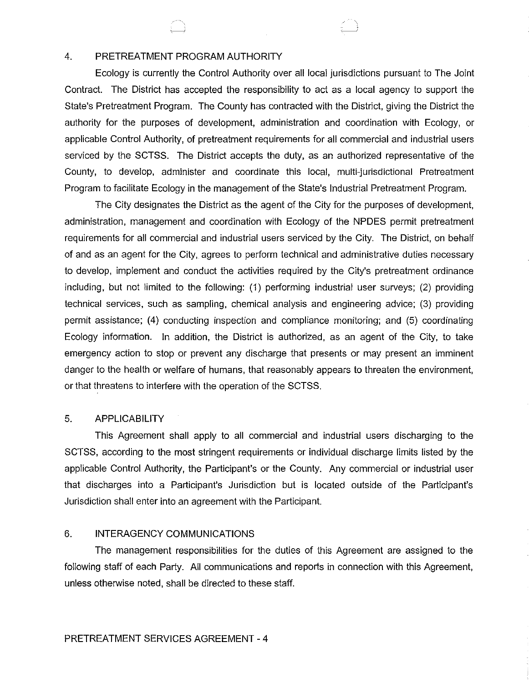### 4. PRETREATMENT PROGRAM AUTHORITY

Ecology is currently the Control Authority *over* all local jurisdictions pursuant to The Joint Contract. The District has accepted the responsibility to act as a local agency to support the State's Pretreatment Program. The County has contracted with the District, giving the District the authority for the purposes of development, administration and coordination with Ecology, or applicable Control Authority, of pretreatment requirements for all commercial and industrial users serviced by the SCTSS. The District accepts the duty, as an authorized representative of the County, to develop, administer and coordinate this local, multi-jurisdictional Pretreatment Program to facilitate Ecology in the management of the State's Industrial Pretreatment Program.

The City designates the District as the agent of the City for the purposes of development, administration, management and coordination with Ecology of the NPDES permit pretreatment requirements for all commercial and industrial users serviced by the City. The District, on behalf of and as an agent for the City, agrees to perform technical and administrative duties necessary to develop, implement and conduct the activities required by the City's pretreatment ordinance including, but not limited to the following: (1) performing industrial user surveys; (2) providing technical services, such as sampling, chemical analysis and engineering advice; (3) providing permit assistance; (4) conducting inspection and compliance monitoring; and (5) coordinating Ecology information. In addition, the District is authorized, as an agent of the City, to take emergency action to stop or prevent any discharge that presents or may present an imminent danger to the health or welfare of humans, that reasonably appears to threaten the environment, or that threatens to interfere with the operation of the SCTSS.

### 5. APPLICABILITY

This Agreement shall apply to all commercial and industrial users discharging to the SCTSS, according to the most stringent requirements or individual discharge limits listed by the applicable Control Authority, the Participant's or the County. Any commercial or industrial user that discharges into a Participant's Jurisdiction but is located outside of the Participant's Jurisdiction shall enter into an agreement with the Participant.

# 6. INTERAGENCY COMMUNICATIONS

The management responsibilities for the duties of this Agreement are assigned to the following staff of each Party. All communications and reports in connection with this Agreement, unless otherwise noted, shall be directed to these staff.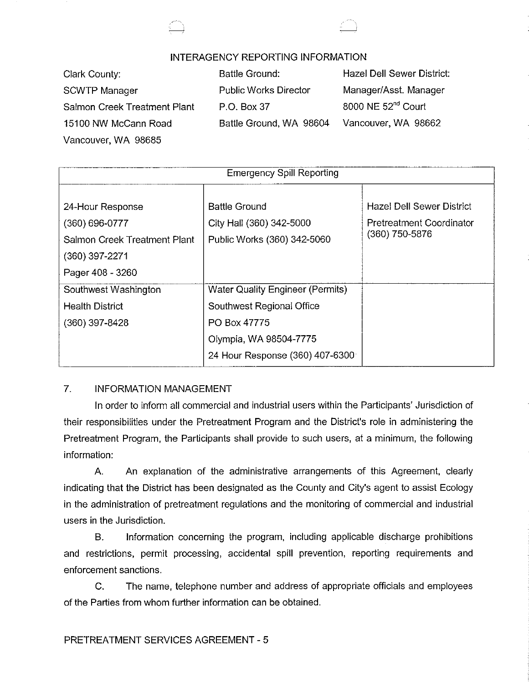



# INTERAGENCY REPORTING INFORMATION

| Clark County:                | <b>Battle Ground:</b>        | Hazel Dell Sewer District:     |
|------------------------------|------------------------------|--------------------------------|
| <b>SCWTP Manager</b>         | <b>Public Works Director</b> | Manager/Asst. Manager          |
| Salmon Creek Treatment Plant | P.O. Box 37                  | 8000 NE 52 <sup>nd</sup> Court |
| 15100 NW McCann Road         | Battle Ground, WA 98604      | Vancouver, WA 98662            |
| Vancouver, WA 98685          |                              |                                |

| <b>Emergency Spill Reporting</b>                                                           |                                                                                                                                            |                                                                                |  |
|--------------------------------------------------------------------------------------------|--------------------------------------------------------------------------------------------------------------------------------------------|--------------------------------------------------------------------------------|--|
| 24-Hour Response<br>$(360) 696 - 0777$<br>Salmon Creek Treatment Plant<br>$(360)$ 397-2271 | <b>Battle Ground</b><br>City Hall (360) 342-5000<br>Public Works (360) 342-5060                                                            | <b>Hazel Dell Sewer District</b><br>Pretreatment Coordinator<br>(360) 750-5876 |  |
| Pager 408 - 3260<br>Southwest Washington<br><b>Health District</b><br>$(360)$ 397-8428     | Water Quality Engineer (Permits)<br>Southwest Regional Office<br>PO Box 47775<br>Olympia, WA 98504-7775<br>24 Hour Response (360) 407-6300 |                                                                                |  |

# 7. INFORMATION MANAGEMENT

In order to inform all commercial and industrial users within the Participants' Jurisdiction of their responsibilities under the Pretreatment Program and the District's role in administering the Pretreatment Program, the Participants shall provide to such users, at a minimum, the following information:

A. An explanation of the administrative arrangements of this Agreement, clearly indicating that the District has been designated as the County and City's agent to assist Ecology in the administration of pretreatment regulations and the monitoring of commercial and industrial users in the Jurisdiction.

B. Information concerning the program, including applicable discharge prohibitions and restrictions, permit processing, accidental spill prevention, reporting requirements and enforcement sanctions.

C. The name, telephone number and address of appropriate officials and employees of the Parties from whom further information can be obtained.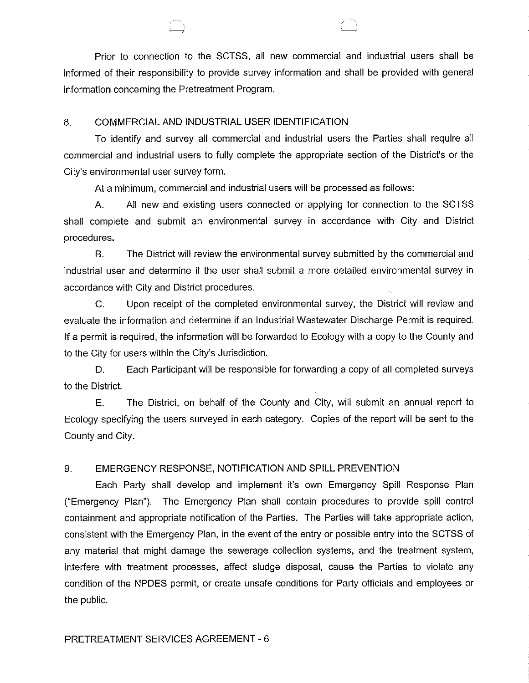Prior to connection to the SCTSS, all new commercial and industrial users shall be informed of their responsibility to provide survey information and shall be provided with general information concerning the Pretreatment Program.

### 8. COMMERCIAL AND INDUSTRIAL USER IDENTIFICATION

To identify and survey all commercial and industrial users the Parties shall require all commercial and industrial users to fully complete the appropriate section of the District's or the City's environmental user survey form.

At a minimum, commercial and industrial users will be processed as follows:

A. All new and existing users connected or applying for connection to the SCTSS shall complete and submit an environmental survey in accordance with City and District procedures.

B. The District will review the environmental survey submitted by the commercial and industrial user and determine if the user shall submit a more detailed environmental survey in accordance with City and District procedures.

C. Upon receipt of the completed environmental survey, the District will review and evaluate the information and determine if an Industrial Wastewater Discharge Permit is required. If a permit is required, the information will be forwarded to Ecology with a copy to the County and to the City for users within the City's Jurisdiction.

D. Each Participant will be responsible for forwarding a copy of all completed surveys to the District.

E. The District, on behalf of the County and City, will submit an annual report to Ecology specifying the users surveyed in each category. Copies of the report will be sent to the County and City.

# 9. EMERGENCY RESPONSE, NOTIFICATION AND SPILL PREVENTION

Each Party shall develop and implement it's own Emergency Spill Response Plan ("Emergency Plan"). The Emergency Plan shall contain procedures to provide spill control containment and appropriate notification of the Parties. The Parties will take appropriate action, consistent with the Emergency Plan, in the event of the entry or possible entry into the SCTSS of any material that might damage the sewerage collection systems, and the treatment system, interfere with treatment processes, affect sludge disposal, cause the Parties to violate any condition of the NPDES permit, or create unsafe conditions for Party officials and employees or the public.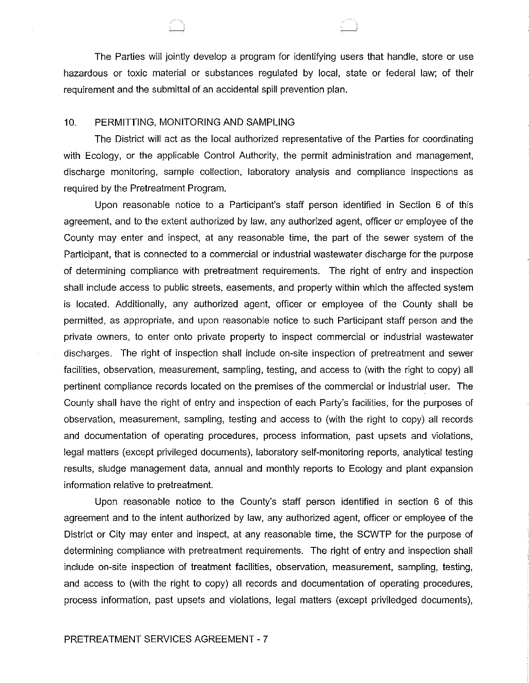The Parties will jointly develop a program for identifying users that handle, store or use hazardous or toxic material or substances regulated by local, state or federal law; of their requirement and the submittal of an accidental spill prevention plan.

#### 10. PERMITIING, MONITORING AND SAMPLING

The District will act as the local authorized representative of the Parties for coordinating with Ecology, or the applicable Control Authority, the permit administration and management, discharge monitoring, sample collection, laboratory analysis and compliance inspections as required by the Pretreatment Program.

Upon reasonable notice to a Participant's staff person identified in Section 6 of this agreement, and to the extent authorized by law, any authorized agent, officer or employee of the County may enter and inspect, at any reasonable time, the part of the sewer system of the Participant, that is connected to a commercial or industrial wastewater discharge for the purpose of determining compliance with pretreatment requirements. The right of entry and inspection shall include access to public streets, easements, and property within which the affected system is located. Additionally, any authorized agent, officer or employee of the County shall be permitted. as appropriate, and upon reasonable notice to such Participant staff person and the private owners, to enter onto private property to inspect commercial or industrial wastewater discharges. The right of inspection shall include on-site inspection of pretreatment and sewer facilities, observation, measurement, sampling, testing, and access to (with the right to copy) all pertinent compliance records located on the premises of the commercial or industrial user. The County shall have the right of entry and inspection of each Party's facilities, for the purposes of observation, measurement, sampling, testing and access to (with the right to copy) all records and documentation of operating procedures, process information, past upsets and violations, legal matters (except privileged documents), laboratory self-monitoring reports, analytical testing results, sludge management data, annual and monthly reports to Ecology and plant expansion information relative to pretreatment.

Upon reasonable notice to the County's staff person identified in section 6 of this agreement and to the intent authorized by law, any authorized agent, officer or employee of the District or City may enter and inspect, at any reasonable time, the SCWTP for the purpose of determining compliance with pretreatment requirements. The right of entry and inspection shall include on-site inspection of treatment facilities, observation, measurement, sampling, testing, and access to (with the right to copy) all records and documentation of operating procedures, process information, past upsets and violations, legal matters (except priviledged documents),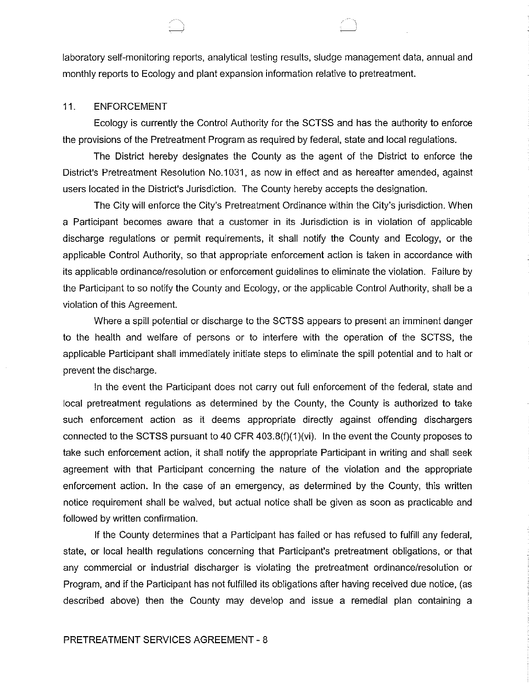laboratory self-monitoring reports, analytical testing results, sludge management data, annual and monthly reports to Ecology and plant expansion information relative to pretreatment.

#### 11. ENFORCEMENT

Ecology is currently the Control Authority for the SCTSS and has the authority to enforce the provisions of the Pretreatment Program as required by federal, state and local regulations.

The District hereby designates the County as the agent of the District to enforce the District's Pretreatment Resolution No.1031, as now in effect and as hereafter amended, against users located in the District's Jurisdiction. The County hereby accepts the designation.

The City will enforce the City's Pretreatment Ordinance within the City's jurisdiction. When a Participant becomes aware that a customer in its Jurisdiction is in violation of applicable discharge regulations or permit requirements, it shall notify the County and Ecology, or the applicable Control Authority, so that appropriate enforcement action is taken in accordance with its applicable ordinance/resolution or enforcement guidelines to eliminate the violation. Failure by the Participant to so notify the County and Ecology, or the applicable Control Authority, shall be a violation of this Agreement.

Where a spill potential or discharge to the SCTSS appears to present an imminent danger to the health and welfare of persons or to interfere with the operation of the SCTSS, the applicable Participant shall immediately initiate steps to eliminate the spill potential and to halt or prevent the discharge.

In the event the Participant does not carry out full enforcement of the federal, state and local pretreatment regulations as determined by the County, the County is authorized to take such enforcement action as it deems appropriate directly against offending dischargers connected to the SCTSS pursuant to 40 CFR 403.8(f)(1)(vi). In the event the County proposes to take such enforcement action, it shall notify the appropriate Participant in writing and shall seek agreement with that Participant concerning the nature of the violation and the appropriate enforcement action. In the case of an emergency, as determined by the County, this written notice requirement shall be waived, but actual notice shall be given as soon as practicable and followed by written confirmation.

If the County determines that a Participant has failed or has refused to fulfill any federal, state, or local health regulations concerning that Participant's pretreatment obligations, or that any commercial or industrial discharger is violating the pretreatment ordinance/resolution or Program, and if the Participant has not fulfilled its obligations after having received due notice, (as described above) then the County may develop and issue a remedial plan containing a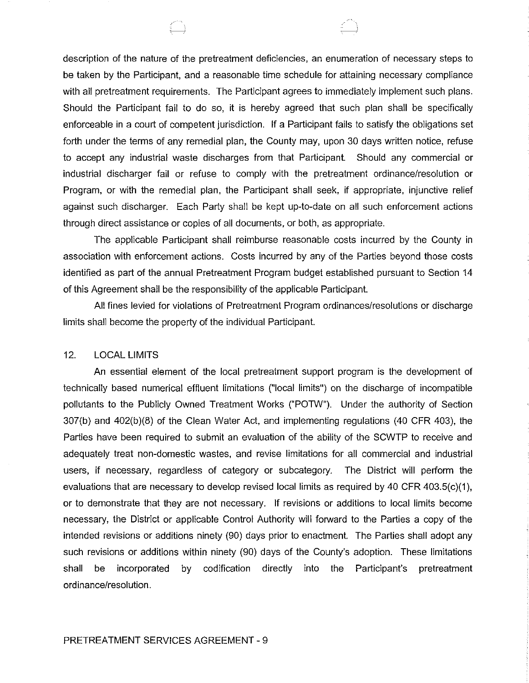description of the nature of the pretreatment deficiencies, an enumeration of necessary steps to be taken by the Participant, and a reasonable time schedule for attaining necessary compliance with all pretreatment requirements. The Participant agrees to immediately implement such plans. Should the Participant fail to do so, it is hereby agreed that such plan shall be specifically enforceable in a court of competent jurisdiction. If a Participant fails to satisfy the obligations set forth under the terms of any remedial plan, the County may, upon 30 days written notice, refuse to accept any industrial waste discharges from that Participant. Should any commercial or industrial discharger fail or refuse to comply with the pretreatment ordinance/resolution or Program, or with the remedial plan, the Participant shall seek, if appropriate, injunctive relief against such discharger. Each Party shall be kept up-to-date on all such enforcement actions through direct assistance or copies of all documents, or both, as appropriate.

 $\bigoplus$ 

The applicable Participant shall reimburse reasonable costs incurred by the County in association with enforcement actions. Costs incurred by any of the Parties beyond those costs identified as part of the annual Pretreatment Program budget established pursuant to Section 14 of this Agreement shall be the responsibility of the applicable Participant.

All fines levied for violations of Pretreatment Program ordinances/resolutions or discharge limits shall become the property of the individual Participant.

### 12. LOCAL LIMITS

An essential element of the local pretreatment support program is the development of technically based numerical effluent limitations {"local limits") on the discharge of incompatible pollutants to the Publicly Owned Treatment Works ("POTW"). Under the authority of Section 307(b) and 402{b){8) of the Clean Water Act, and implementing regulations (40 CFR 403), the Parties have been required to submit an evaluation of the ability of the SCWTP to receive and adequately treat non-domestic wastes, and revise limitations for all commercial and industrial users, if necessary, regardless of category or subcategory. The District will perform the evaluations that are necessary to develop revised local limits as required by 40 CFR 403.5(c)(1), or to demonstrate that they are not necessary. If revisions or additions to local limits become necessary, the District or applicable Control Authority will forward to the Parties a copy of the intended revisions or additions ninety (90) days prior to enactment. The Parties shall adopt any such revisions or additions within ninety (90) days of the County's adoption. These limitations shall be incorporated by codification directly into the Participant's pretreatment ordinance/resolution.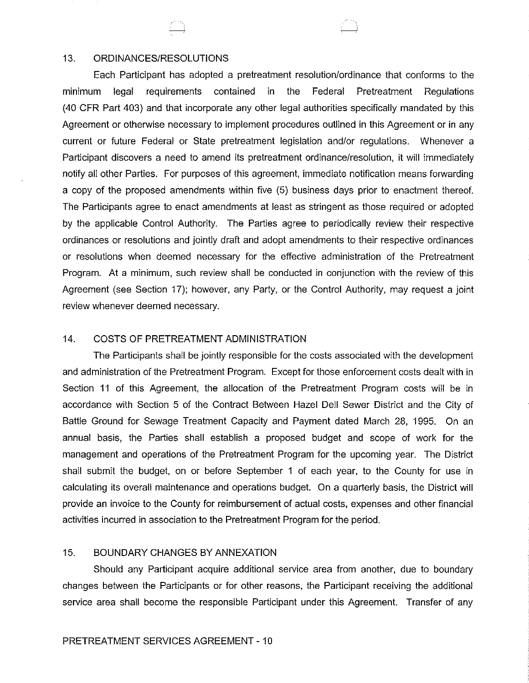#### 13. ORDINANCES/RESOLUTIONS

Each Participant has adopted a pretreatment resolution/ordinance that conforms to the minimum legal requirements contained in the Federal Pretreatment Regulations (40 CFR Part 403) and that incorporate any other legal authorities specifically mandated by this Agreement or otherwise necessary to implement procedures outlined in this Agreement or in any current or future Federal or State pretreatment legislation and/or regulations. Whenever a Participant discovers a need to amend its pretreatment ordinance/resolution, it will immediately notify all other Parties. For purposes of this agreement, immediate notification means forwarding a copy of the proposed amendments within five (5) business days prior to enactment thereof. The Participants agree to enact amendments at least as stringent as those required or adopted by the applicable Control Authority. The Parties agree to periodically review their respective ordinances or resolutions and jointly draft and adopt amendments to their respective ordinances or resolutions when deemed necessary for the effective administration of the Pretreatment Program. At a minimum, such review shall be conducted in conjunction with the review of this Agreement (see Section 17); however, any Party, or the Control Authority, may request a joint review whenever deemed necessary.

### 14. COSTS OF PRETREATMENT ADMINISTRATION

The Participants shall be jointly responsible for the costs associated with the development and administration of the Pretreatment Program. Except for those enforcement costs dealt with in Section 11 of this Agreement, the allocation of the Pretreatment Program costs will be in accordance with Section 5 of the Contract Between Hazel Dell Sewer District and the City of Battle Ground for Sewage Treatment Capacity and Payment dated March 28, 1995. On an annual basis, the Parties shall establish a proposed budget and scope of work for the management and operations of the Pretreatment Program for the upcoming year. The District shall submit the budget, on or before September 1 of each year, to the County for use in calculating its overall maintenance and operations budget. On a quarterly basis, the District will provide an invoice to the County for reimbursement of actual costs, expenses and other financial activities incurred in association to the Pretreatment Program for the period.

### 15. BOUNDARY CHANGES BY ANNEXATION

Should any Participant acquire additional service area from another, due to boundary changes between the Participants or for other reasons, the Participant receiving the additional service area shall become the responsible Participant under this Agreement. Transfer of any